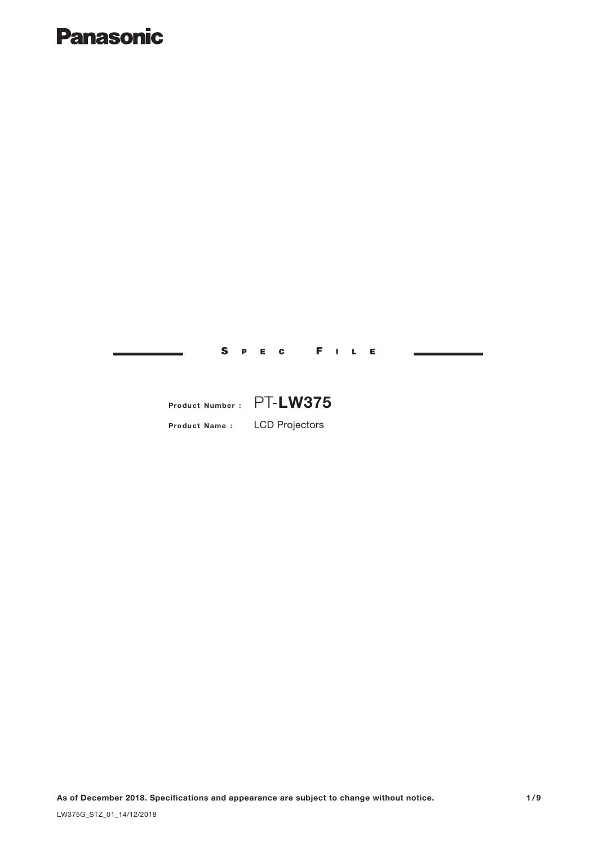## **Panasonic**

## Product Name : LCD Projectors Product Number : PT-LW375

S P E C F I L E

As of December 2018. Specifications and appearance are subject to change without notice. 1/9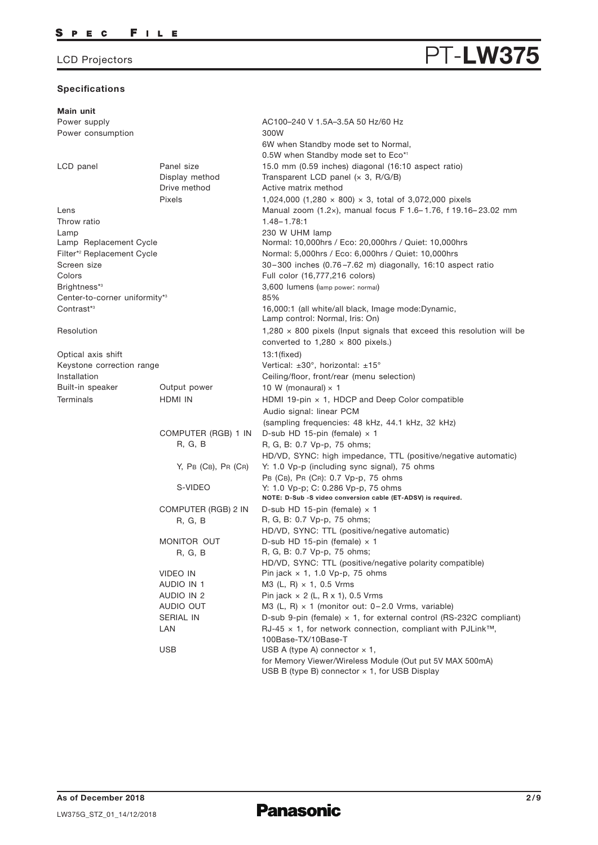#### **Specifications**

#### Main unit Power supply Power consumption LCD panel **Panel size** Display method Pixels Lens Lamp AC100–240 V 1.5A–3.5A 50 Hz/60 Hz 300W 6W when Standby mode set to Normal, 0.5W when Standby mode set to Eco\*1 15.0 mm (0.59 inches) diagonal (16:10 aspect ratio) Throw ratio 1.48– 1.78:1 Transparent LCD panel  $(x, 3, R/G/B)$ Drive method **Active matrix method** 1,024,000 (1,280 × 800) × 3, total of 3,072,000 pixels Manual zoom (1.2×), manual focus F 1.6– 1.76, f 19.16– 23.02 mm 230 W UHM lamp Screen size Colors Brightness\* 3 Center-to-corner uniformity\* 3 Contrast\* 3 Resolution Optical axis shift Keystone correction range Installation Built-in speaker **Output power** Terminals HDMI IN COMPUTER (RGB) 1 IN R, G, B Y, PB (CB), PR (CR) 30–300 inches (0.76 –7.62 m) diagonally, 16:10 aspect ratio Full color (16,777,216 colors) 3,600 lumens (lamp power: normal) 85% 16,000:1 (all white/all black, Image mode:Dynamic, Lamp control: Normal, Iris: On) 1,280  $\times$  800 pixels (Input signals that exceed this resolution will be converted to  $1,280 \times 800$  pixels.) 13:1(fixed) Vertical: ±30°, horizontal: ±15° Ceiling/floor, front/rear (menu selection) 10 W (monaural)  $\times$  1 HDMI 19-pin  $\times$  1, HDCP and Deep Color compatible Audio signal: linear PCM (sampling frequencies: 48 kHz, 44.1 kHz, 32 kHz) D-sub HD 15-pin (female)  $\times$  1 R, G, B: 0.7 Vp-p, 75 ohms; HD/VD, SYNC: high impedance, TTL (positive/negative automatic) Y: 1.0 Vp-p (including sync signal), 75 ohms S-VIDEO Y: 1.0 Vp-p; C: 0.286 Vp-p, 75 ohms PB (CB), PR (CR): 0.7 Vp-p, 75 ohms NOTE: D-Sub -S video conversion cable (ET-ADSV) is required. VIDEO IN AUDIO IN 1 AUDIO IN 2 AUDIO OUT SERIAL IN LAN Pin jack  $\times$  1, 1.0 Vp-p, 75 ohms M3 (L, R) × 1, 0.5 Vrms Pin jack  $\times$  2 (L, R  $\times$  1), 0.5 Vrms M3 (L, R) × 1 (monitor out: 0– 2.0 Vrms, variable) D-sub 9-pin (female)  $\times$  1, for external control (RS-232C compliant) USB  $USB$  A (type A) connector  $\times$  1, for Memory Viewer/Wireless Module (Out put 5V MAX 500mA)  $RJ-45 \times 1$ , for network connection, compliant with PJLink<sup>™</sup>. 100Base-TX/10Base-T COMPUTER (RGB) 2 IN R, G, B D-sub HD 15-pin (female)  $\times$  1 R, G, B: 0.7 Vp-p, 75 ohms; HD/VD, SYNC: TTL (positive/negative automatic) MONITOR OUT R, G, B D-sub HD 15-pin (female)  $\times$  1 R, G, B: 0.7 Vp-p, 75 ohms; HD/VD, SYNC: TTL (positive/negative polarity compatible) Lamp Replacement Cycle Normal: 10,000hrs / Eco: 20,000hrs / Quiet: 10,000hrs <sup>2</sup> Filter\* Replacement Cycle Normal: 5,000hrs / Eco: 6,000hrs / Quiet: 10,000hrs

**Panasonic** 

USB B (type B) connector  $\times$  1, for USB Display

**PT-LW375**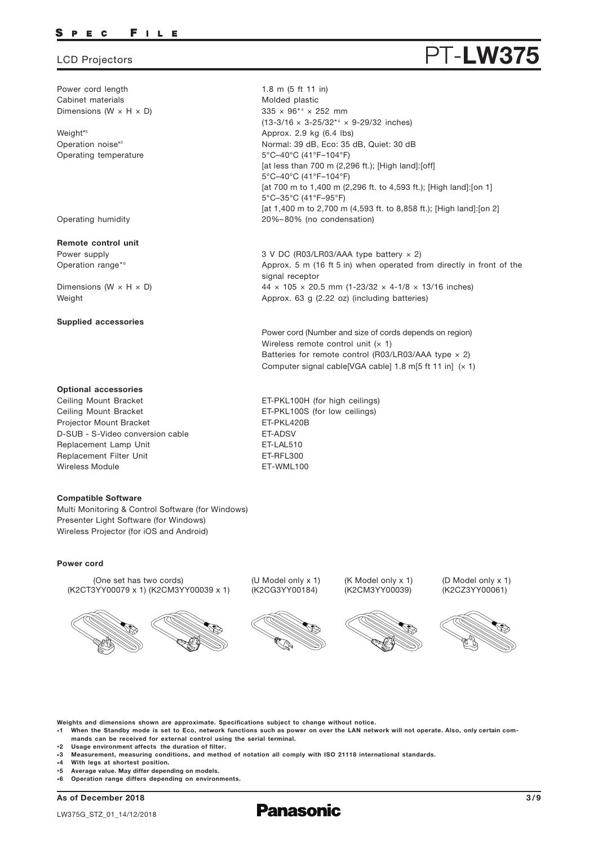#### FILE P E C

#### LCD Projectors

Power cord length Cabinet materials Dimensions (W  $\times$  H  $\times$  D)

Weight\* 5 Operation noise\*3 Operating temperature

Operating humidity

Remote control unit Power supply Operation range\*<sup>6</sup>

Dimensions ( $W \times H \times D$ ) Weight

#### Supplied accessories

#### Optional accessories

Replacement Lamp Unit Replacement Filter Unit Ceiling Mount Bracket Ceiling Mount Bracket Projector Mount Bracket Wireless Module **ET-WML100** D-SUB - S-Video conversion cable ET-ADSV

#### Compatible Software

Multi Monitoring & Control Software (for Windows) Presenter Light Software (for Windows) Wireless Projector (for iOS and Android)

#### Power cord

(One set has two cords) (K2CT3YY00079 x 1) (K2CM3YY00039 x 1)



(U Model only x 1) (K2CG3YY00184)







(D Model only x 1) (K2CZ3YY00061)



Weights and dimensions shown are approximate. Specifications subject to change without notice.

- \*1 When the Standby mode is set to Eco, network functions such as power on over the LAN network will not operate. Also, only certain commands can be received for external control using the serial terminal.
- \*2 Usage environment affects the duration of filter.
- \*3 Measurement, measuring conditions, and method of notation all comply with ISO 21118 international standards.
- $*4$ With legs at shortest position.
- \* Average value. May differ depending on models.
- \* 6 Operation range differs depending on environments.

As of December 2018





 $335 \times 96^{*4} \times 252$  mm  $(13-3/16 \times 3-25/32^{*4} \times 9-29/32$  inches) Molded plastic Approx. 2.9 kg (6.4 lbs) 5°C–40°C (41°F–104°F) [at less than 700 m (2,296 ft.); [High land]: [off] 5°C–40°C (41°F–104°F) [at 700 m to 1,400 m (2,296 ft. to 4,593 ft.); [High land]:[on 1] 5°C–35°C (41°F–95°F) [at 1,400 m to 2,700 m (4,593 ft. to 8,858 ft.); [High land]:[on 2] 20%–80% (no condensation) Normal: 39 dB, Eco: 35 dB, Quiet: 30 dB

3 V DC (R03/LR03/AAA type battery × 2) Approx. 5 m (16 ft 5 in) when operated from directly in front of the signal receptor  $44 \times 105 \times 20.5$  mm (1-23/32  $\times$  4-1/8  $\times$  13/16 inches) Approx. 63 g (2.22 oz) (including batteries)

Power cord (Number and size of cords depends on region) Wireless remote control unit  $(x 1)$ Batteries for remote control (R03/LR03/AAA type  $\times$  2) Computer signal cable[VGA cable] 1.8 m[5 ft 11 in]  $(x 1)$ 

ET-LAL510 ET-RFL300 ET-PKL100H (for high ceilings) ET-PKL100S (for low ceilings) ET-PKL420B

1.8 m (5 ft 11 in)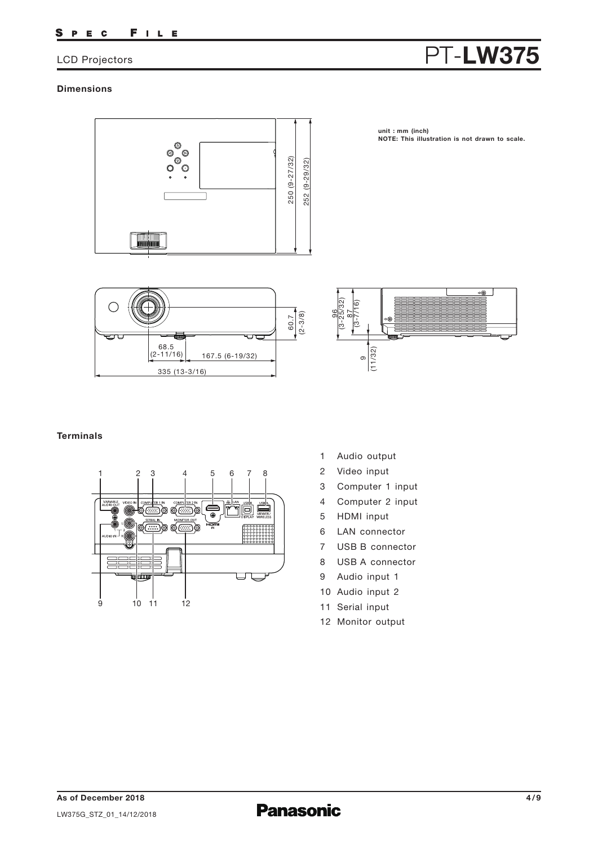#### FILE S P E C

### LCD Projectors

# PT-LW375

### **Dimensions**



**unit : mm (inch) NOTE: This illustration is not drawn to scale.**





### **Terminals**



- 1 Audio output
- 2 Video input
- 3 Computer 1 input
- 4 Computer 2 input
- 5 HDMI input
- 6 LAN connector
- 7 USB B connector
- 8 USB A connector
- 9 Audio input 1
- 10 Audio input 2
- 11 Serial input
- 12 Monitor output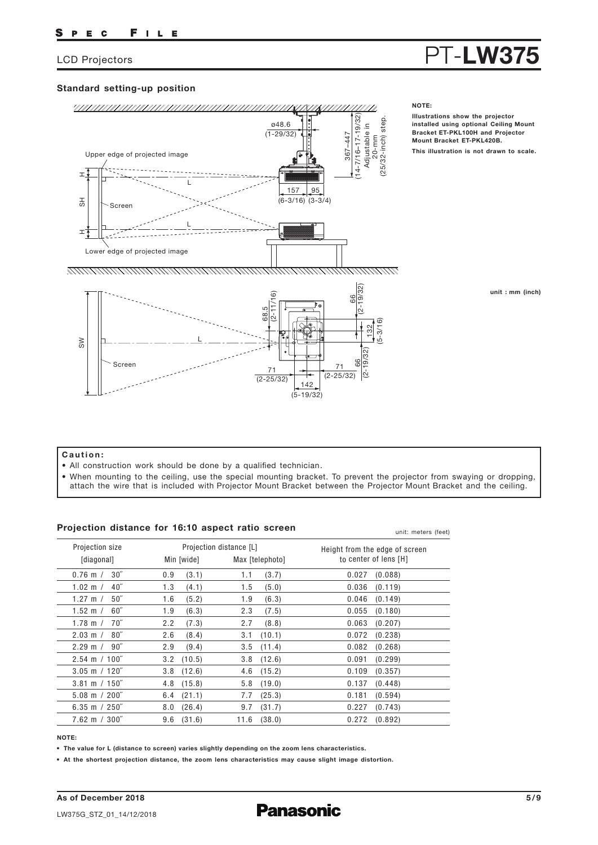#### Standard setting-up position



#### NOTE:

Illustrations show the projector installed using optional Ceiling Mount Bracket ET-PKL100H and Projector Mount Bracket ET-PKL420B. This illustration is not drawn to scale.

PT-LW375

(5-19/32)

#### unit : mm (inch)

#### Caution:

- All construction work should be done by a qualified technician.
- When mounting to the ceiling, use the special mounting bracket. To prevent the projector from swaying or dropping, attach the wire that is included with Projector Mount Bracket between the Projector Mount Bracket and the ceiling.

#### Projection distance for 16:10 aspect ratio screen

0.76 m / 1.02 m / 1.27 m / 1.52 m / 1.78 m / 2.03 m / 2.29 m / 2.54 m 100˝ / 3.05 m 120˝ / 3.81 m 150˝ / 5.08 m 200˝ / 6.35 m 250˝ / 7.62 m 300˝ / 0.9 1.3 1.6 1.9 2.2 2.6 2.9 3.2 3.8 4.8 6.4 8.0 9.6 1.1 1.5 1.9 2.3 2.7 3.1 3.5 3.8 4.6 5.8 7.7 9.7 11.6 0.027 (0.088) 0.036 0.046 (0.149) 0.055 (0.180) 0.063 0.072 0.082 0.091 0.109 0.137 0.181 0.227 0.272 30˝ 40˝ 50˝ 60˝ 70˝ 80˝ 90˝ (3.1) (4.1) (5.2) (6.3) (7.3) (8.4) (9.4) (10.5) (12.6) (15.8) (21.1) (26.4) (31.6) (3.7) (5.0) (6.3) (7.5) (8.8) (10.1) (11.4) (12.6) (15.2) (19.0) (25.3) (31.7) (38.0) (0.119) (0.207) (0.238) (0.268) (0.299) (0.357) (0.448) (0.594) (0.743) (0.892) Projection size [diagonal] Projection distance [L] Min [wide] Max [telephoto] Height from the edge of screen to center of lens [H] unit: meters (feet)

#### NOTE:

• The value for L (distance to screen) varies slightly depending on the zoom lens characteristics.

• At the shortest projection distance, the zoom lens characteristics may cause slight image distortion.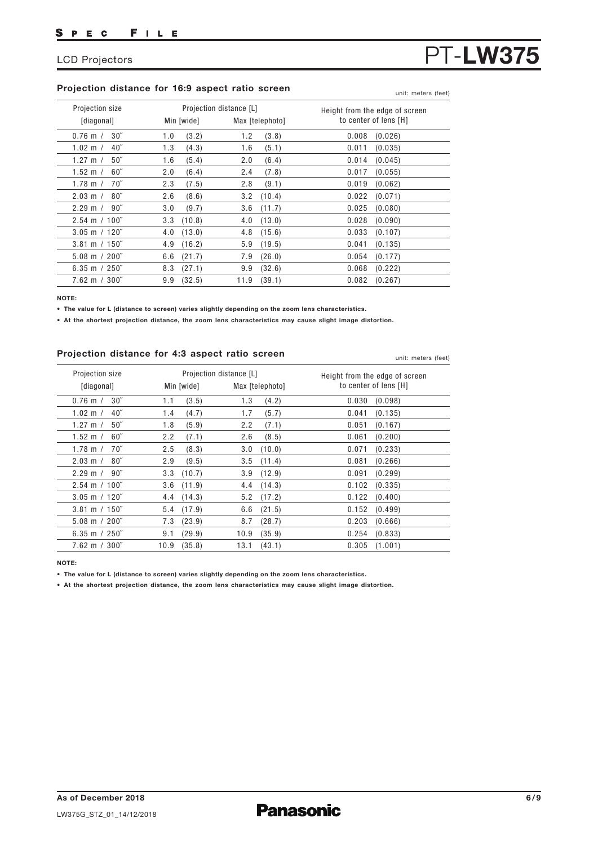#### Projection distance for 16:9 aspect ratio screen

| Projection size          | Projection distance [L] |                 | Height from the edge of screen |  |  |
|--------------------------|-------------------------|-----------------|--------------------------------|--|--|
| [diagonal]               | Min [wide]              | Max [telephoto] | to center of lens [H]          |  |  |
| 30 <sup>''</sup>         | (3.2)                   | (3.8)           | 0.008                          |  |  |
| $0.76$ m $/$             | 1.0                     | 1.2             | (0.026)                        |  |  |
| 40 <sup>''</sup>         | 1.3                     | 1.6             | 0.011                          |  |  |
| $1.02 \text{ m}$ /       | (4.3)                   | (5.1)           | (0.035)                        |  |  |
| 50 <sup>''</sup>         | 1.6                     | 2.0             | 0.014                          |  |  |
| 1.27 m $/$               | (5.4)                   | (6.4)           | (0.045)                        |  |  |
| 60''                     | 2.0                     | 2.4             | 0.017                          |  |  |
| $1.52 \; m /$            | (6.4)                   | (7.8)           | (0.055)                        |  |  |
| 70''                     | 2.3                     | (9.1)           | 0.019                          |  |  |
| $1.78$ m $/$             | (7.5)                   | 2.8             | (0.062)                        |  |  |
| $80^{\prime\prime}$      | 2.6                     | (10.4)          | 0.022                          |  |  |
| $2.03 \text{ m}$ /       | (8.6)                   | 3.2             | (0.071)                        |  |  |
| $90^{\circ}$             | (9.7)                   | (11.7)          | (0.080)                        |  |  |
| $2.29 \text{ m}$ /       | 3.0                     | 3.6             | 0.025                          |  |  |
| $2.54 \text{ m} / 100$ " | $3.3$ $(10.8)$          | (13.0)<br>4.0   | 0.028<br>(0.090)               |  |  |
| $3.05$ m $/ 120$ "       | $4.0$ $(13.0)$          | $4.8$ $(15.6)$  | 0.033<br>(0.107)               |  |  |
| $3.81 \text{ m} / 150$ " | (16.2)                  | (19.5)          | 0.041                          |  |  |
|                          | 4.9                     | 5.9             | (0.135)                        |  |  |
| $5.08 \text{ m} / 200$ " | 6.6                     | 7.9             | 0.054                          |  |  |
|                          | (21.7)                  | (26.0)          | (0.177)                        |  |  |
| 6.35 m $/250$ "          | (27.1)                  | 9.9             | (0.222)                        |  |  |
|                          | 8.3                     | (32.6)          | 0.068                          |  |  |
| $7.62 \text{ m} / 300$ " | 9.9                     | 11.9            | 0.082                          |  |  |
|                          | (32.5)                  | (39.1)          | (0.267)                        |  |  |

NOTE:

• The value for L (distance to screen) varies slightly depending on the zoom lens characteristics.

• At the shortest projection distance, the zoom lens characteristics may cause slight image distortion.

#### Projection distance for 4:3 aspect ratio screen

0.76 m / 1.02 m / 1.27 m / 1.52 m / 1.78 m / 2.03 m / 2.29 m / 2.54 m 100˝ / 3.05 m 120˝ / 3.81 m 150˝ / 5.08 m 200˝ / 6.35 m 250˝ / 7.62 m 300˝ / 1.1 1.4 1.8 2.2 2.5 2.9 3.3 3.6 4.4 5.4 (17.9) 7.3 9.1 10.9 1.3 1.7 2.2 2.6 3.0 3.5 3.9 4.4 5.2 6.6 8.7 10.9 13.1  $30<sup>′</sup>$ 40˝ 50˝ 60˝ 70˝ 80˝ 90˝  $(3.5)$ (4.7) (5.9) (7.1) (8.3) (9.5) (10.7) (11.9) (14.3) (23.9) (29.9) (35.8) (4.2) (5.7) (7.1) (8.5) (10.0) (11.4) (12.9) (14.3) (17.2) (21.5) (28.7) (35.9) (43.1) Projection size [diagonal] Projection distance [L] Min [wide] Max [telephoto] Height from the edge of screen to center of lens [H] 0.030 (0.098) 0.041 0.051 0.061 0.071 0.081 0.091 0.102 0.122 0.152 0.203 (0.666) 0.254 0.305 (0.135) (0.167) (0.200) (0.233) (0.266) (0.299) (0.335) (0.400) (0.499) (0.833) (1.001)

NOTE:

• The value for L (distance to screen) varies slightly depending on the zoom lens characteristics.

• At the shortest projection distance, the zoom lens characteristics may cause slight image distortion.

PT-LW375

unit: meters (feet)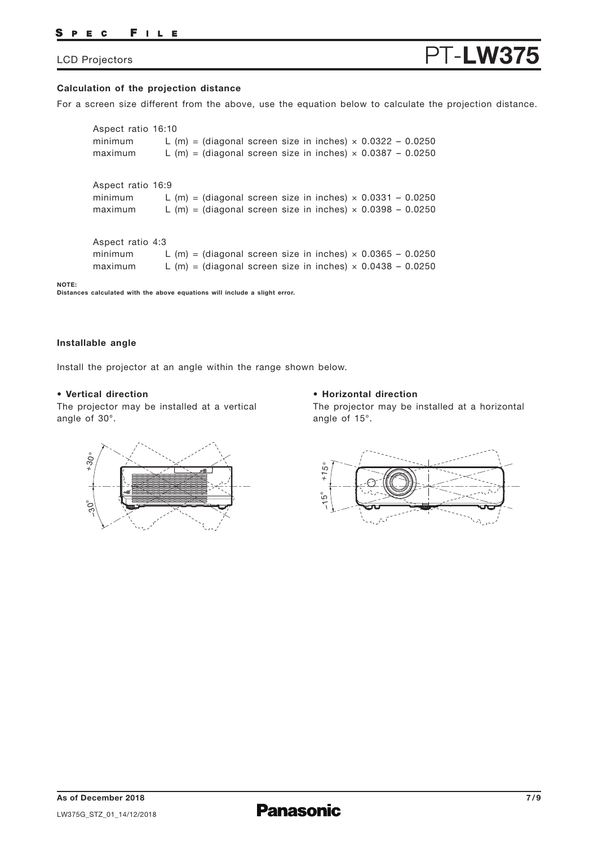#### PEC FILE

### LCD Projectors

## PT-LW375

#### **Calculation of the projection distance**

For a screen size different from the above, use the equation below to calculate the projection distance.

Aspect ratio 16:9 minimum L  $(m)$  = (diagonal screen size in inches)  $\times$  0.0331 - 0.0250 maximum L  $(m)$  = (diagonal screen size in inches)  $\times$  0.0398 - 0.0250 Aspect ratio 16:10 minimum L  $(m)$  = (diagonal screen size in inches)  $\times$  0.0322 - 0.0250 maximum L  $(m)$  = (diagonal screen size in inches)  $\times$  0.0387 - 0.0250 Aspect ratio 4:3 minimum L  $(m)$  = (diagonal screen size in inches)  $\times$  0.0365 - 0.0250 maximum L  $(m)$  = (diagonal screen size in inches)  $\times$  0.0438 - 0.0250

**NOTE: Distances calculated with the above equations will include a slight error.**

#### **Installable angle**

Install the projector at an angle within the range shown below.

#### **• Vertical direction**

The projector may be installed at a vertical angle of 30°.

#### **• Horizontal direction**

The projector may be installed at a horizontal angle of 15°.



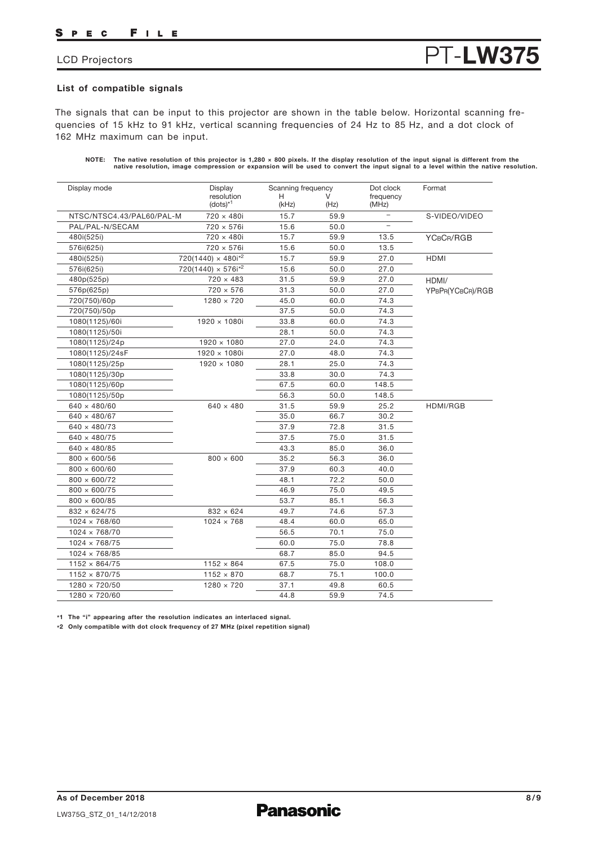#### FILE S P E C

### LCD Projectors

## List of compatible signals

The signals that can be input to this projector are shown in the table below. Horizontal scanning frequencies of 15 kHz to 91 kHz, vertical scanning frequencies of 24 Hz to 85 Hz, and a dot clock of 162 MHz maximum can be input.

| NOTE: The native resolution of this projector is 1,280 $\times$ 800 pixels. If the display resolution of the input signal is different from the |
|-------------------------------------------------------------------------------------------------------------------------------------------------|
| native resolution, image compression or expansion will be used to convert the input signal to a level within the native resolution.             |

PT-LW375

| Display mode              | Display<br>resolution<br>$(dots)^{*1}$ |            | Scanning frequency |                          | Format           |
|---------------------------|----------------------------------------|------------|--------------------|--------------------------|------------------|
|                           |                                        | н<br>(kHz) | (Hz)               | frequency<br>(MHz)       |                  |
| NTSC/NTSC4.43/PAL60/PAL-M | 720 × 480i                             | 15.7       | 59.9               | $\qquad \qquad -$        | S-VIDEO/VIDEO    |
| PAL/PAL-N/SECAM           | 720 × 576i                             | 15.6       | 50.0               | $\overline{\phantom{0}}$ |                  |
| 480i(525i)                | 720 × 480i                             | 15.7       | 59.9               | 13.5                     | YCBCR/RGB        |
| 576i(625i)                | 720 × 576i                             | 15.6       | 50.0               | 13.5                     |                  |
| 480i(525i)                | $720(1440) \times 480i^{2}$            | 15.7       | 59.9               | 27.0                     | HDMI             |
| 576i(625i)                | $720(1440) \times 576i^{2}$            | 15.6       | 50.0               | 27.0                     |                  |
| 480p(525p)                | $720 \times 483$                       | 31.5       | 59.9               | 27.0                     | HDMI/            |
| 576p(625p)                | $720 \times 576$                       | 31.3       | 50.0               | 27.0                     | YPBPR(YCBCR)/RGB |
| 720(750)/60p              | $1280 \times 720$                      | 45.0       | 60.0               | 74.3                     |                  |
| 720(750)/50p              |                                        | 37.5       | 50.0               | 74.3                     |                  |
| 1080(1125)/60i            | $1920 \times 1080i$                    | 33.8       | 60.0               | 74.3                     |                  |
| 1080(1125)/50i            |                                        | 28.1       | 50.0               | 74.3                     |                  |
| 1080(1125)/24p            | $1920 \times 1080$                     | 27.0       | 24.0               | 74.3                     |                  |
| 1080(1125)/24sF           | $1920 \times 1080i$                    | 27.0       | 48.0               | 74.3                     |                  |
| 1080(1125)/25p            | $1920 \times 1080$                     | 28.1       | 25.0               | 74.3                     |                  |
| 1080(1125)/30p            |                                        | 33.8       | 30.0               | 74.3                     |                  |
| 1080(1125)/60p            |                                        | 67.5       | 60.0               | 148.5                    |                  |
| 1080(1125)/50p            |                                        | 56.3       | 50.0               | 148.5                    |                  |
| $640 \times 480/60$       | $640 \times 480$                       | 31.5       | 59.9               | 25.2                     | HDMI/RGB         |
| $640 \times 480/67$       |                                        | 35.0       | 66.7               | 30.2                     |                  |
| $640 \times 480/73$       |                                        | 37.9       | 72.8               | 31.5                     |                  |
| $640 \times 480/75$       |                                        | 37.5       | 75.0               | 31.5                     |                  |
| $640 \times 480/85$       |                                        | 43.3       | 85.0               | 36.0                     |                  |
| $800 \times 600/56$       | $800 \times 600$                       | 35.2       | 56.3               | 36.0                     |                  |
| $800 \times 600/60$       |                                        | 37.9       | 60.3               | 40.0                     |                  |
| $800 \times 600/72$       |                                        | 48.1       | 72.2               | 50.0                     |                  |
| $800 \times 600/75$       |                                        | 46.9       | 75.0               | 49.5                     |                  |
| $800 \times 600/85$       |                                        | 53.7       | 85.1               | 56.3                     |                  |
| $832 \times 624/75$       | $832 \times 624$                       | 49.7       | 74.6               | 57.3                     |                  |
| $1024 \times 768/60$      | $1024 \times 768$                      | 48.4       | 60.0               | 65.0                     |                  |
| $1024 \times 768/70$      |                                        | 56.5       | 70.1               | 75.0                     |                  |
| $1024 \times 768/75$      |                                        | 60.0       | 75.0               | 78.8                     |                  |
| $1024 \times 768/85$      |                                        | 68.7       | 85.0               | 94.5                     |                  |
| $1152 \times 864/75$      | $1152 \times 864$                      | 67.5       | 75.0               | 108.0                    |                  |
| $1152 \times 870/75$      | $1152 \times 870$                      | 68.7       | 75.1               | 100.0                    |                  |
| $1280 \times 720/50$      | $1280 \times 720$                      | 37.1       | 49.8               | 60.5                     |                  |
| $1280 \times 720/60$      |                                        | 44.8       | 59.9               | 74.5                     |                  |

\*1 The "i" appearing after the resolution indicates an interlaced signal.

\*2 Only compatible with dot clock frequency of 27 MHz (pixel repetition signal)